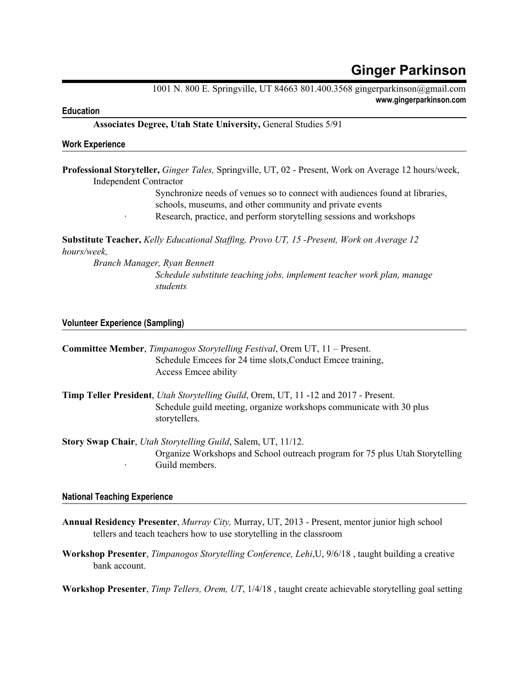# **Ginger Parkinson**

1001 N. 800 E. Springville, UT 84663 801.400.3568 gingerparkinson@gmail.com **www.gingerparkinson.com**

## **Education**

**Associates Degree, Utah State University,** General Studies 5/91

#### **Work Experience**

**Professional Storyteller,** *Ginger Tales,* Springville, UT, 02 - Present, Work on Average 12 hours/week, Independent Contractor

> Synchronize needs of venues so to connect with audiences found at libraries, schools, museums, and other community and private events · Research, practice, and perform storytelling sessions and workshops

**Substitute Teacher,** *Kelly Educational Staf ing, Provo UT, 15 -Present, Work on Average 12 hours/week,*

*Branch Manager, Ryan Bennett Schedule substitute teaching jobs, implement teacher work plan, manage students.*

## **Volunteer Experience (Sampling)**

| <b>Committee Member, Timpanogos Storytelling Festival, Orem UT, 11 – Present.</b><br>Schedule Emcees for 24 time slots, Conduct Emcee training,<br>Access Emcee ability              |
|--------------------------------------------------------------------------------------------------------------------------------------------------------------------------------------|
| Timp Teller President, <i>Utah Storytelling Guild</i> , Orem, UT, 11 -12 and 2017 - Present.<br>Schedule guild meeting, organize workshops communicate with 30 plus<br>storytellers. |
| <b>Story Swap Chair,</b> <i>Utah Storytelling Guild</i> , Salem, UT, 11/12.<br>Organize Workshops and School outreach program for 75 plus Utah Storytelling<br>Guild members.        |

## **National Teaching Experience**

- **Annual Residency Presenter**, *Murray City,* Murray, UT, 2013 Present, mentor junior high school tellers and teach teachers how to use storytelling in the classroom
- **Workshop Presenter**, *Timpanogos Storytelling Conference, Lehi*,U, 9/6/18 , taught building a creative bank account.

**Workshop Presenter**, *Timp Tellers, Orem, UT*, 1/4/18 , taught create achievable storytelling goal setting